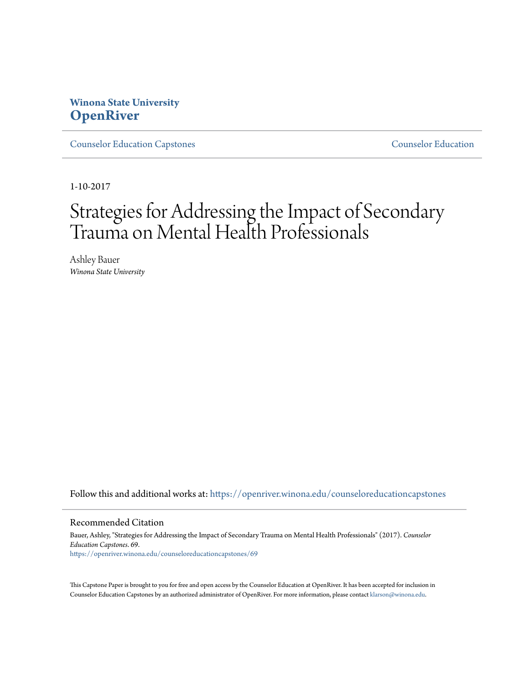# **Winona State University [OpenRiver](https://openriver.winona.edu?utm_source=openriver.winona.edu%2Fcounseloreducationcapstones%2F69&utm_medium=PDF&utm_campaign=PDFCoverPages)**

[Counselor Education Capstones](https://openriver.winona.edu/counseloreducationcapstones?utm_source=openriver.winona.edu%2Fcounseloreducationcapstones%2F69&utm_medium=PDF&utm_campaign=PDFCoverPages) [Counselor Education](https://openriver.winona.edu/counseloreducation?utm_source=openriver.winona.edu%2Fcounseloreducationcapstones%2F69&utm_medium=PDF&utm_campaign=PDFCoverPages)

1-10-2017

# Strategies for Addressing the Impact of Secondary Trauma on Mental Health Professionals

Ashley Bauer *Winona State University*

Follow this and additional works at: [https://openriver.winona.edu/counseloreducationcapstones](https://openriver.winona.edu/counseloreducationcapstones?utm_source=openriver.winona.edu%2Fcounseloreducationcapstones%2F69&utm_medium=PDF&utm_campaign=PDFCoverPages)

#### Recommended Citation

Bauer, Ashley, "Strategies for Addressing the Impact of Secondary Trauma on Mental Health Professionals" (2017). *Counselor Education Capstones*. 69. [https://openriver.winona.edu/counseloreducationcapstones/69](https://openriver.winona.edu/counseloreducationcapstones/69?utm_source=openriver.winona.edu%2Fcounseloreducationcapstones%2F69&utm_medium=PDF&utm_campaign=PDFCoverPages)

This Capstone Paper is brought to you for free and open access by the Counselor Education at OpenRiver. It has been accepted for inclusion in Counselor Education Capstones by an authorized administrator of OpenRiver. For more information, please contact [klarson@winona.edu](mailto:klarson@winona.edu).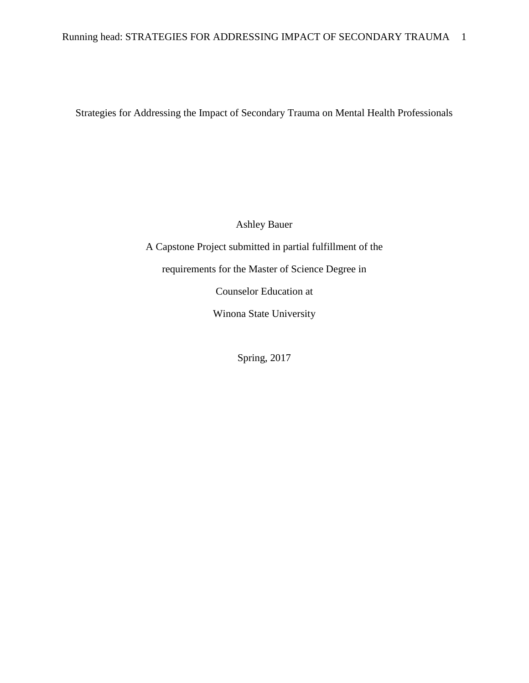Strategies for Addressing the Impact of Secondary Trauma on Mental Health Professionals

Ashley Bauer

A Capstone Project submitted in partial fulfillment of the requirements for the Master of Science Degree in Counselor Education at Winona State University

Spring, 2017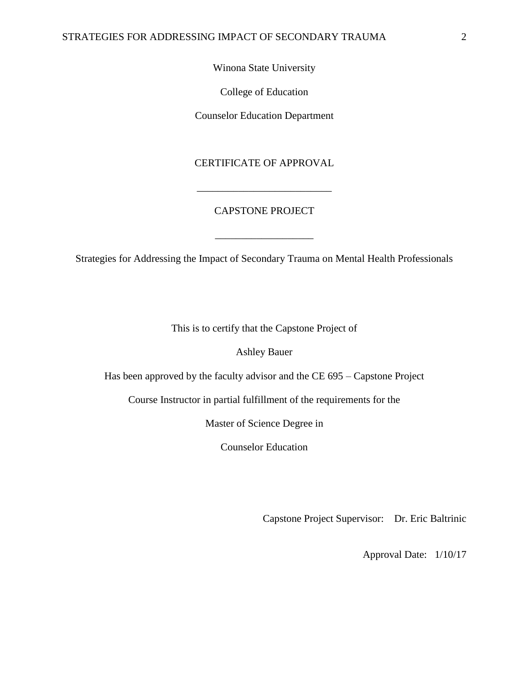# Winona State University

College of Education

Counselor Education Department

# CERTIFICATE OF APPROVAL

# CAPSTONE PROJECT

\_\_\_\_\_\_\_\_\_\_\_\_\_\_\_\_\_\_\_

\_\_\_\_\_\_\_\_\_\_\_\_\_\_\_\_\_\_\_\_\_\_\_\_\_\_

Strategies for Addressing the Impact of Secondary Trauma on Mental Health Professionals

This is to certify that the Capstone Project of

Ashley Bauer

Has been approved by the faculty advisor and the CE 695 – Capstone Project

Course Instructor in partial fulfillment of the requirements for the

Master of Science Degree in

Counselor Education

Capstone Project Supervisor: Dr. Eric Baltrinic

Approval Date: 1/10/17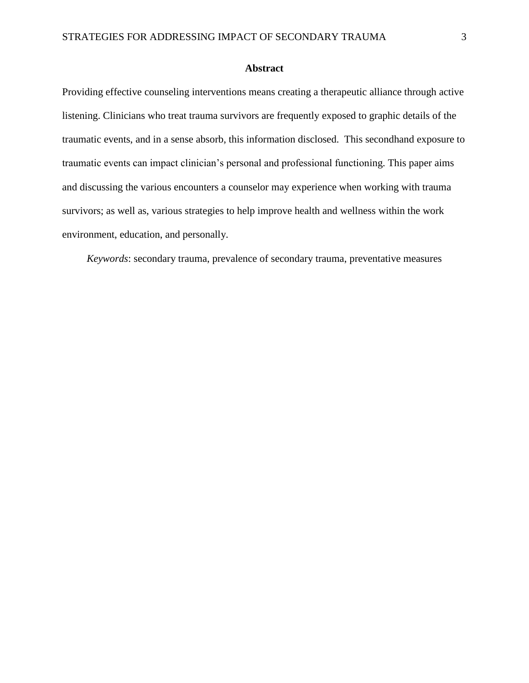### **Abstract**

Providing effective counseling interventions means creating a therapeutic alliance through active listening. Clinicians who treat trauma survivors are frequently exposed to graphic details of the traumatic events, and in a sense absorb, this information disclosed. This secondhand exposure to traumatic events can impact clinician's personal and professional functioning. This paper aims and discussing the various encounters a counselor may experience when working with trauma survivors; as well as, various strategies to help improve health and wellness within the work environment, education, and personally.

*Keywords*: secondary trauma, prevalence of secondary trauma, preventative measures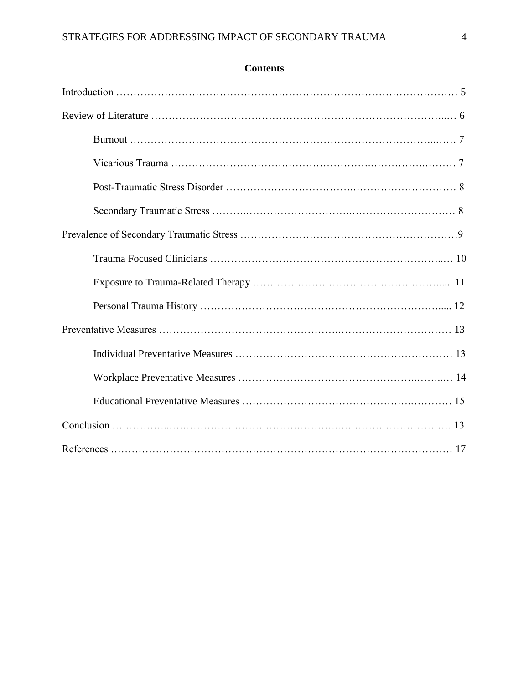# **Contents**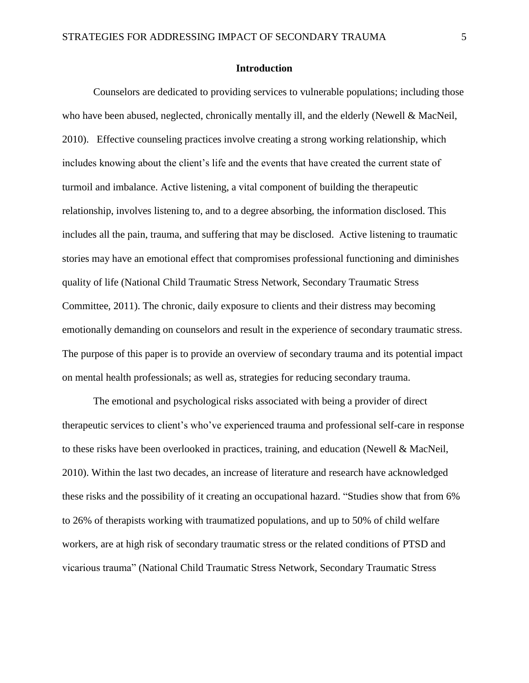#### **Introduction**

Counselors are dedicated to providing services to vulnerable populations; including those who have been abused, neglected, chronically mentally ill, and the elderly (Newell & MacNeil, 2010). Effective counseling practices involve creating a strong working relationship, which includes knowing about the client's life and the events that have created the current state of turmoil and imbalance. Active listening, a vital component of building the therapeutic relationship, involves listening to, and to a degree absorbing, the information disclosed. This includes all the pain, trauma, and suffering that may be disclosed. Active listening to traumatic stories may have an emotional effect that compromises professional functioning and diminishes quality of life (National Child Traumatic Stress Network, Secondary Traumatic Stress Committee, 2011). The chronic, daily exposure to clients and their distress may becoming emotionally demanding on counselors and result in the experience of secondary traumatic stress. The purpose of this paper is to provide an overview of secondary trauma and its potential impact on mental health professionals; as well as, strategies for reducing secondary trauma.

The emotional and psychological risks associated with being a provider of direct therapeutic services to client's who've experienced trauma and professional self-care in response to these risks have been overlooked in practices, training, and education (Newell & MacNeil, 2010). Within the last two decades, an increase of literature and research have acknowledged these risks and the possibility of it creating an occupational hazard. "Studies show that from 6% to 26% of therapists working with traumatized populations, and up to 50% of child welfare workers, are at high risk of secondary traumatic stress or the related conditions of PTSD and vicarious trauma" (National Child Traumatic Stress Network, Secondary Traumatic Stress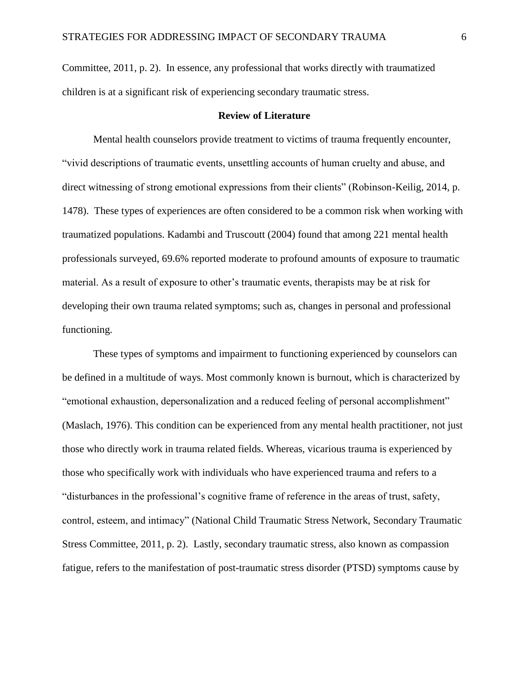Committee, 2011, p. 2). In essence, any professional that works directly with traumatized children is at a significant risk of experiencing secondary traumatic stress.

## **Review of Literature**

Mental health counselors provide treatment to victims of trauma frequently encounter, "vivid descriptions of traumatic events, unsettling accounts of human cruelty and abuse, and direct witnessing of strong emotional expressions from their clients" (Robinson-Keilig, 2014, p. 1478). These types of experiences are often considered to be a common risk when working with traumatized populations. Kadambi and Truscoutt (2004) found that among 221 mental health professionals surveyed, 69.6% reported moderate to profound amounts of exposure to traumatic material. As a result of exposure to other's traumatic events, therapists may be at risk for developing their own trauma related symptoms; such as, changes in personal and professional functioning.

These types of symptoms and impairment to functioning experienced by counselors can be defined in a multitude of ways. Most commonly known is burnout, which is characterized by "emotional exhaustion, depersonalization and a reduced feeling of personal accomplishment" (Maslach, 1976). This condition can be experienced from any mental health practitioner, not just those who directly work in trauma related fields. Whereas, vicarious trauma is experienced by those who specifically work with individuals who have experienced trauma and refers to a "disturbances in the professional's cognitive frame of reference in the areas of trust, safety, control, esteem, and intimacy" (National Child Traumatic Stress Network, Secondary Traumatic Stress Committee, 2011, p. 2). Lastly, secondary traumatic stress, also known as compassion fatigue, refers to the manifestation of post-traumatic stress disorder (PTSD) symptoms cause by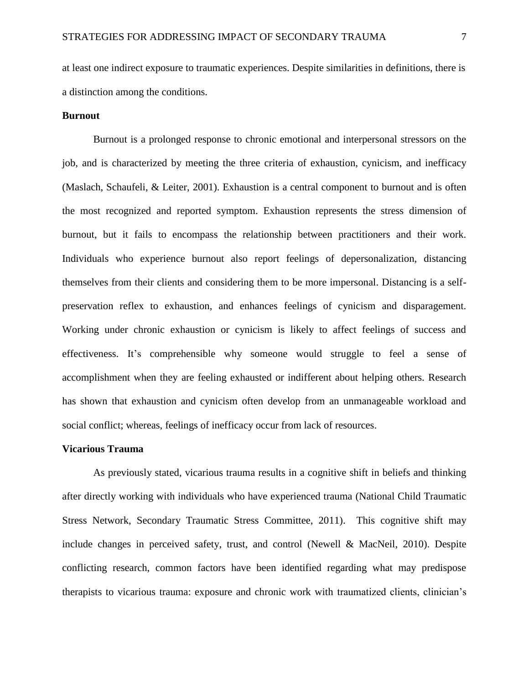at least one indirect exposure to traumatic experiences. Despite similarities in definitions, there is a distinction among the conditions.

#### **Burnout**

Burnout is a prolonged response to chronic emotional and interpersonal stressors on the job, and is characterized by meeting the three criteria of exhaustion, cynicism, and inefficacy (Maslach, Schaufeli, & Leiter, 2001). Exhaustion is a central component to burnout and is often the most recognized and reported symptom. Exhaustion represents the stress dimension of burnout, but it fails to encompass the relationship between practitioners and their work. Individuals who experience burnout also report feelings of depersonalization, distancing themselves from their clients and considering them to be more impersonal. Distancing is a selfpreservation reflex to exhaustion, and enhances feelings of cynicism and disparagement. Working under chronic exhaustion or cynicism is likely to affect feelings of success and effectiveness. It's comprehensible why someone would struggle to feel a sense of accomplishment when they are feeling exhausted or indifferent about helping others. Research has shown that exhaustion and cynicism often develop from an unmanageable workload and social conflict; whereas, feelings of inefficacy occur from lack of resources.

#### **Vicarious Trauma**

As previously stated, vicarious trauma results in a cognitive shift in beliefs and thinking after directly working with individuals who have experienced trauma (National Child Traumatic Stress Network, Secondary Traumatic Stress Committee, 2011). This cognitive shift may include changes in perceived safety, trust, and control (Newell & MacNeil, 2010). Despite conflicting research, common factors have been identified regarding what may predispose therapists to vicarious trauma: exposure and chronic work with traumatized clients, clinician's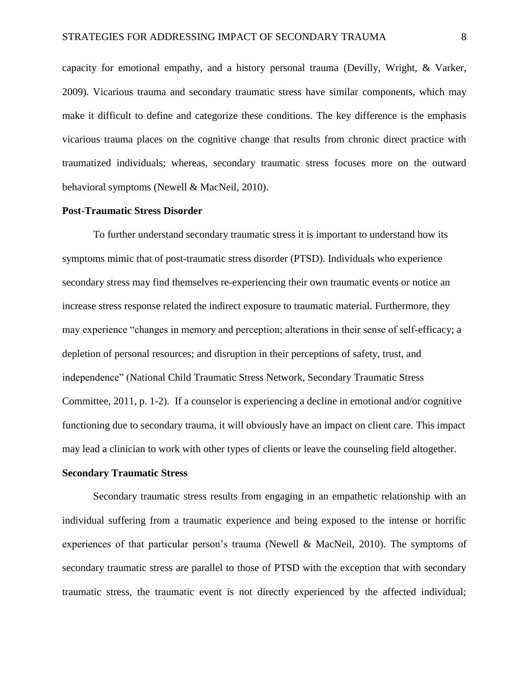capacity for emotional empathy, and a history personal trauma (Devilly, Wright, & Varker, 2009). Vicarious trauma and secondary traumatic stress have similar components, which may make it difficult to define and categorize these conditions. The key difference is the emphasis vicarious trauma places on the cognitive change that results from chronic direct practice with traumatized individuals; whereas, secondary traumatic stress focuses more on the outward behavioral symptoms (Newell & MacNeil, 2010).

#### **Post-Traumatic Stress Disorder**

To further understand secondary traumatic stress it is important to understand how its symptoms mimic that of post-traumatic stress disorder (PTSD). Individuals who experience secondary stress may find themselves re-experiencing their own traumatic events or notice an increase stress response related the indirect exposure to traumatic material. Furthermore, they may experience "changes in memory and perception; alterations in their sense of self-efficacy; a depletion of personal resources; and disruption in their perceptions of safety, trust, and independence" (National Child Traumatic Stress Network, Secondary Traumatic Stress Committee, 2011, p. 1-2). If a counselor is experiencing a decline in emotional and/or cognitive functioning due to secondary trauma, it will obviously have an impact on client care. This impact may lead a clinician to work with other types of clients or leave the counseling field altogether.

#### **Secondary Traumatic Stress**

Secondary traumatic stress results from engaging in an empathetic relationship with an individual suffering from a traumatic experience and being exposed to the intense or horrific experiences of that particular person's trauma (Newell & MacNeil, 2010). The symptoms of secondary traumatic stress are parallel to those of PTSD with the exception that with secondary traumatic stress, the traumatic event is not directly experienced by the affected individual;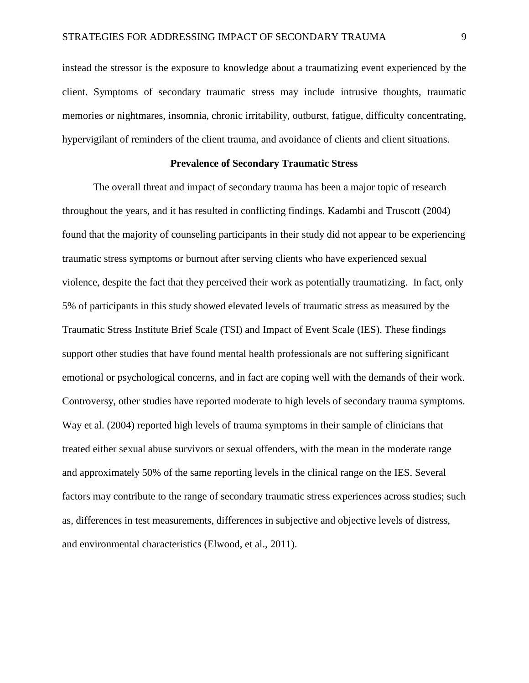instead the stressor is the exposure to knowledge about a traumatizing event experienced by the client. Symptoms of secondary traumatic stress may include intrusive thoughts, traumatic memories or nightmares, insomnia, chronic irritability, outburst, fatigue, difficulty concentrating, hypervigilant of reminders of the client trauma, and avoidance of clients and client situations.

# **Prevalence of Secondary Traumatic Stress**

The overall threat and impact of secondary trauma has been a major topic of research throughout the years, and it has resulted in conflicting findings. Kadambi and Truscott (2004) found that the majority of counseling participants in their study did not appear to be experiencing traumatic stress symptoms or burnout after serving clients who have experienced sexual violence, despite the fact that they perceived their work as potentially traumatizing. In fact, only 5% of participants in this study showed elevated levels of traumatic stress as measured by the Traumatic Stress Institute Brief Scale (TSI) and Impact of Event Scale (IES). These findings support other studies that have found mental health professionals are not suffering significant emotional or psychological concerns, and in fact are coping well with the demands of their work. Controversy, other studies have reported moderate to high levels of secondary trauma symptoms. Way et al. (2004) reported high levels of trauma symptoms in their sample of clinicians that treated either sexual abuse survivors or sexual offenders, with the mean in the moderate range and approximately 50% of the same reporting levels in the clinical range on the IES. Several factors may contribute to the range of secondary traumatic stress experiences across studies; such as, differences in test measurements, differences in subjective and objective levels of distress, and environmental characteristics (Elwood, et al., 2011).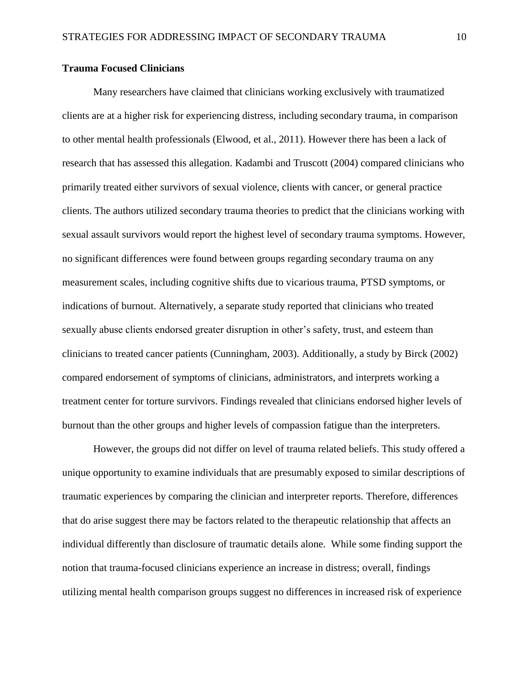# **Trauma Focused Clinicians**

Many researchers have claimed that clinicians working exclusively with traumatized clients are at a higher risk for experiencing distress, including secondary trauma, in comparison to other mental health professionals (Elwood, et al., 2011). However there has been a lack of research that has assessed this allegation. Kadambi and Truscott (2004) compared clinicians who primarily treated either survivors of sexual violence, clients with cancer, or general practice clients. The authors utilized secondary trauma theories to predict that the clinicians working with sexual assault survivors would report the highest level of secondary trauma symptoms. However, no significant differences were found between groups regarding secondary trauma on any measurement scales, including cognitive shifts due to vicarious trauma, PTSD symptoms, or indications of burnout. Alternatively, a separate study reported that clinicians who treated sexually abuse clients endorsed greater disruption in other's safety, trust, and esteem than clinicians to treated cancer patients (Cunningham, 2003). Additionally, a study by Birck (2002) compared endorsement of symptoms of clinicians, administrators, and interprets working a treatment center for torture survivors. Findings revealed that clinicians endorsed higher levels of burnout than the other groups and higher levels of compassion fatigue than the interpreters.

However, the groups did not differ on level of trauma related beliefs. This study offered a unique opportunity to examine individuals that are presumably exposed to similar descriptions of traumatic experiences by comparing the clinician and interpreter reports. Therefore, differences that do arise suggest there may be factors related to the therapeutic relationship that affects an individual differently than disclosure of traumatic details alone. While some finding support the notion that trauma-focused clinicians experience an increase in distress; overall, findings utilizing mental health comparison groups suggest no differences in increased risk of experience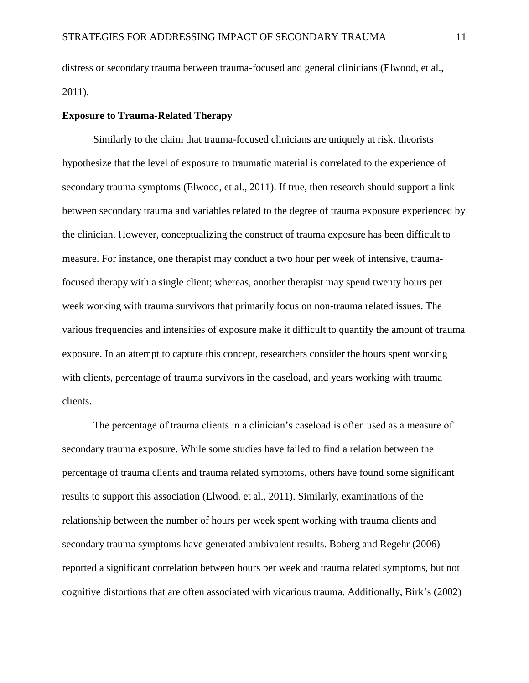distress or secondary trauma between trauma-focused and general clinicians (Elwood, et al., 2011).

#### **Exposure to Trauma-Related Therapy**

Similarly to the claim that trauma-focused clinicians are uniquely at risk, theorists hypothesize that the level of exposure to traumatic material is correlated to the experience of secondary trauma symptoms (Elwood, et al., 2011). If true, then research should support a link between secondary trauma and variables related to the degree of trauma exposure experienced by the clinician. However, conceptualizing the construct of trauma exposure has been difficult to measure. For instance, one therapist may conduct a two hour per week of intensive, traumafocused therapy with a single client; whereas, another therapist may spend twenty hours per week working with trauma survivors that primarily focus on non-trauma related issues. The various frequencies and intensities of exposure make it difficult to quantify the amount of trauma exposure. In an attempt to capture this concept, researchers consider the hours spent working with clients, percentage of trauma survivors in the caseload, and years working with trauma clients.

The percentage of trauma clients in a clinician's caseload is often used as a measure of secondary trauma exposure. While some studies have failed to find a relation between the percentage of trauma clients and trauma related symptoms, others have found some significant results to support this association (Elwood, et al., 2011). Similarly, examinations of the relationship between the number of hours per week spent working with trauma clients and secondary trauma symptoms have generated ambivalent results. Boberg and Regehr (2006) reported a significant correlation between hours per week and trauma related symptoms, but not cognitive distortions that are often associated with vicarious trauma. Additionally, Birk's (2002)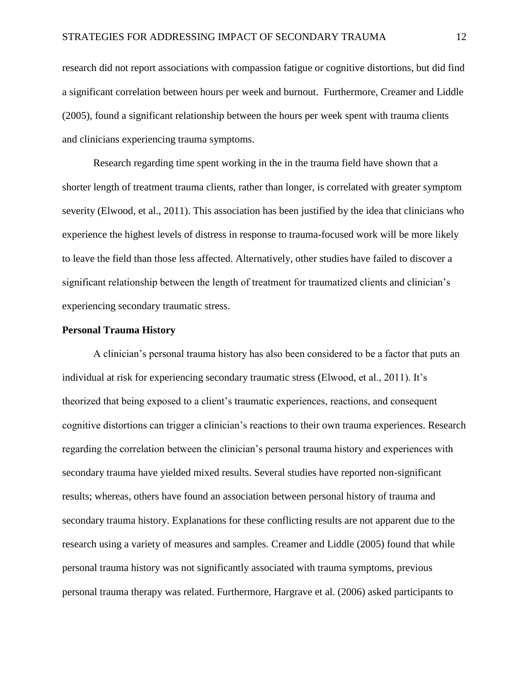research did not report associations with compassion fatigue or cognitive distortions, but did find a significant correlation between hours per week and burnout. Furthermore, Creamer and Liddle (2005), found a significant relationship between the hours per week spent with trauma clients and clinicians experiencing trauma symptoms.

Research regarding time spent working in the in the trauma field have shown that a shorter length of treatment trauma clients, rather than longer, is correlated with greater symptom severity (Elwood, et al., 2011). This association has been justified by the idea that clinicians who experience the highest levels of distress in response to trauma-focused work will be more likely to leave the field than those less affected. Alternatively, other studies have failed to discover a significant relationship between the length of treatment for traumatized clients and clinician's experiencing secondary traumatic stress.

#### **Personal Trauma History**

A clinician's personal trauma history has also been considered to be a factor that puts an individual at risk for experiencing secondary traumatic stress (Elwood, et al., 2011). It's theorized that being exposed to a client's traumatic experiences, reactions, and consequent cognitive distortions can trigger a clinician's reactions to their own trauma experiences. Research regarding the correlation between the clinician's personal trauma history and experiences with secondary trauma have yielded mixed results. Several studies have reported non-significant results; whereas, others have found an association between personal history of trauma and secondary trauma history. Explanations for these conflicting results are not apparent due to the research using a variety of measures and samples. Creamer and Liddle (2005) found that while personal trauma history was not significantly associated with trauma symptoms, previous personal trauma therapy was related. Furthermore, Hargrave et al. (2006) asked participants to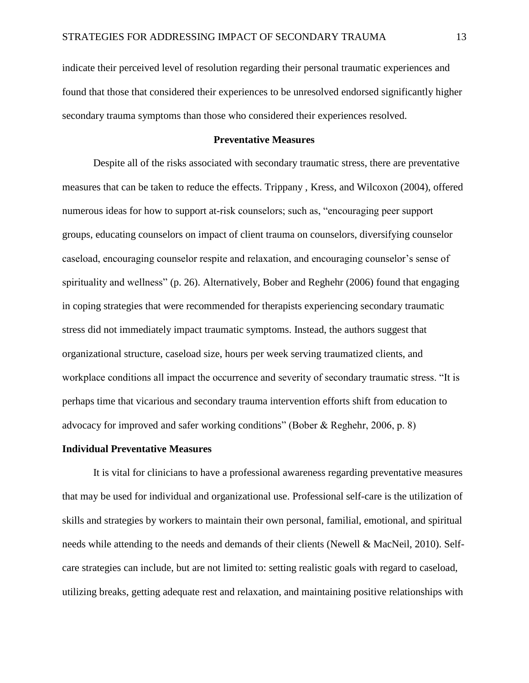indicate their perceived level of resolution regarding their personal traumatic experiences and found that those that considered their experiences to be unresolved endorsed significantly higher secondary trauma symptoms than those who considered their experiences resolved.

#### **Preventative Measures**

Despite all of the risks associated with secondary traumatic stress, there are preventative measures that can be taken to reduce the effects. Trippany , Kress, and Wilcoxon (2004), offered numerous ideas for how to support at-risk counselors; such as, "encouraging peer support groups, educating counselors on impact of client trauma on counselors, diversifying counselor caseload, encouraging counselor respite and relaxation, and encouraging counselor's sense of spirituality and wellness" (p. 26). Alternatively, Bober and Reghehr (2006) found that engaging in coping strategies that were recommended for therapists experiencing secondary traumatic stress did not immediately impact traumatic symptoms. Instead, the authors suggest that organizational structure, caseload size, hours per week serving traumatized clients, and workplace conditions all impact the occurrence and severity of secondary traumatic stress. "It is perhaps time that vicarious and secondary trauma intervention efforts shift from education to advocacy for improved and safer working conditions" (Bober & Reghehr, 2006, p. 8)

#### **Individual Preventative Measures**

It is vital for clinicians to have a professional awareness regarding preventative measures that may be used for individual and organizational use. Professional self-care is the utilization of skills and strategies by workers to maintain their own personal, familial, emotional, and spiritual needs while attending to the needs and demands of their clients (Newell & MacNeil, 2010). Selfcare strategies can include, but are not limited to: setting realistic goals with regard to caseload, utilizing breaks, getting adequate rest and relaxation, and maintaining positive relationships with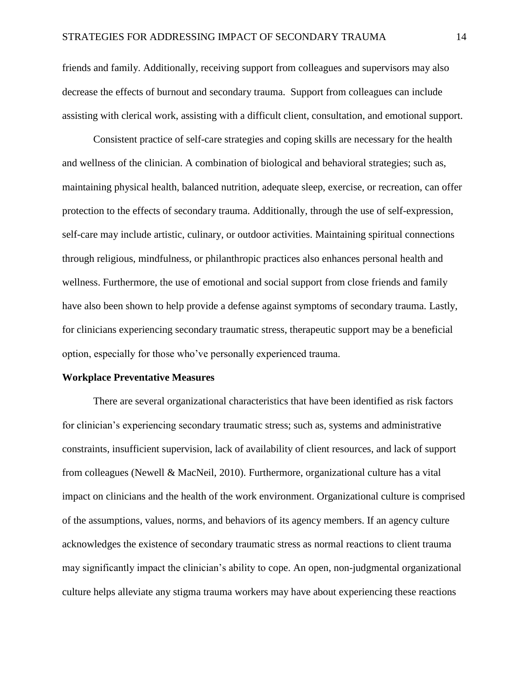friends and family. Additionally, receiving support from colleagues and supervisors may also decrease the effects of burnout and secondary trauma. Support from colleagues can include assisting with clerical work, assisting with a difficult client, consultation, and emotional support.

Consistent practice of self-care strategies and coping skills are necessary for the health and wellness of the clinician. A combination of biological and behavioral strategies; such as, maintaining physical health, balanced nutrition, adequate sleep, exercise, or recreation, can offer protection to the effects of secondary trauma. Additionally, through the use of self-expression, self-care may include artistic, culinary, or outdoor activities. Maintaining spiritual connections through religious, mindfulness, or philanthropic practices also enhances personal health and wellness. Furthermore, the use of emotional and social support from close friends and family have also been shown to help provide a defense against symptoms of secondary trauma. Lastly, for clinicians experiencing secondary traumatic stress, therapeutic support may be a beneficial option, especially for those who've personally experienced trauma.

#### **Workplace Preventative Measures**

There are several organizational characteristics that have been identified as risk factors for clinician's experiencing secondary traumatic stress; such as, systems and administrative constraints, insufficient supervision, lack of availability of client resources, and lack of support from colleagues (Newell & MacNeil, 2010). Furthermore, organizational culture has a vital impact on clinicians and the health of the work environment. Organizational culture is comprised of the assumptions, values, norms, and behaviors of its agency members. If an agency culture acknowledges the existence of secondary traumatic stress as normal reactions to client trauma may significantly impact the clinician's ability to cope. An open, non-judgmental organizational culture helps alleviate any stigma trauma workers may have about experiencing these reactions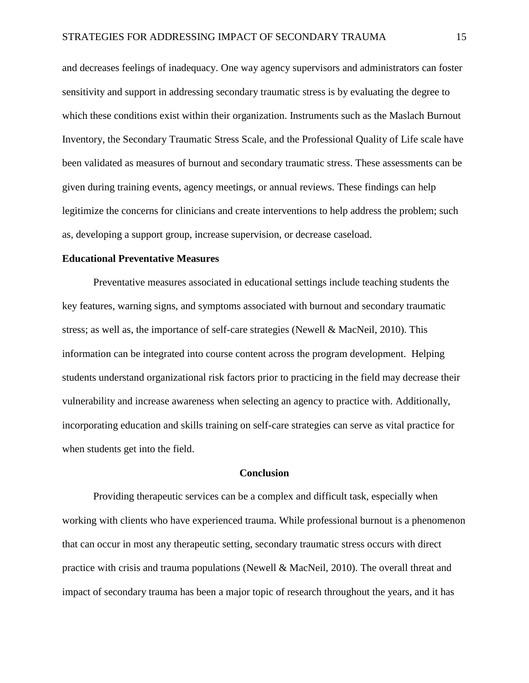and decreases feelings of inadequacy. One way agency supervisors and administrators can foster sensitivity and support in addressing secondary traumatic stress is by evaluating the degree to which these conditions exist within their organization. Instruments such as the Maslach Burnout Inventory, the Secondary Traumatic Stress Scale, and the Professional Quality of Life scale have been validated as measures of burnout and secondary traumatic stress. These assessments can be given during training events, agency meetings, or annual reviews. These findings can help legitimize the concerns for clinicians and create interventions to help address the problem; such as, developing a support group, increase supervision, or decrease caseload.

#### **Educational Preventative Measures**

Preventative measures associated in educational settings include teaching students the key features, warning signs, and symptoms associated with burnout and secondary traumatic stress; as well as, the importance of self-care strategies (Newell & MacNeil, 2010). This information can be integrated into course content across the program development. Helping students understand organizational risk factors prior to practicing in the field may decrease their vulnerability and increase awareness when selecting an agency to practice with. Additionally, incorporating education and skills training on self-care strategies can serve as vital practice for when students get into the field.

#### **Conclusion**

Providing therapeutic services can be a complex and difficult task, especially when working with clients who have experienced trauma. While professional burnout is a phenomenon that can occur in most any therapeutic setting, secondary traumatic stress occurs with direct practice with crisis and trauma populations (Newell & MacNeil, 2010). The overall threat and impact of secondary trauma has been a major topic of research throughout the years, and it has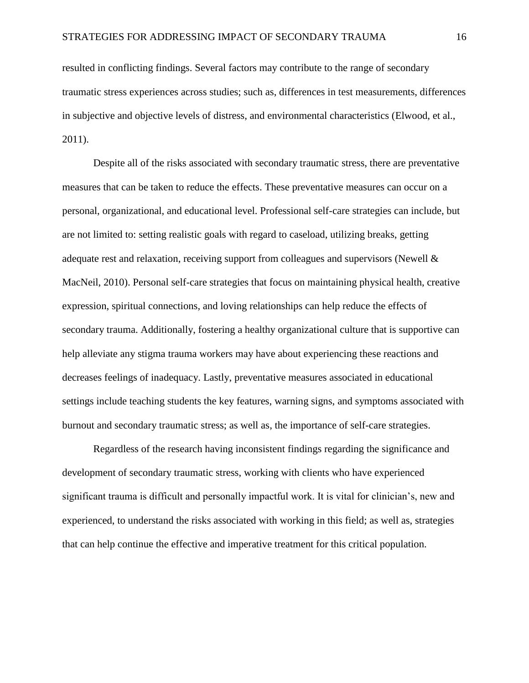resulted in conflicting findings. Several factors may contribute to the range of secondary traumatic stress experiences across studies; such as, differences in test measurements, differences in subjective and objective levels of distress, and environmental characteristics (Elwood, et al., 2011).

Despite all of the risks associated with secondary traumatic stress, there are preventative measures that can be taken to reduce the effects. These preventative measures can occur on a personal, organizational, and educational level. Professional self-care strategies can include, but are not limited to: setting realistic goals with regard to caseload, utilizing breaks, getting adequate rest and relaxation, receiving support from colleagues and supervisors (Newell & MacNeil, 2010). Personal self-care strategies that focus on maintaining physical health, creative expression, spiritual connections, and loving relationships can help reduce the effects of secondary trauma. Additionally, fostering a healthy organizational culture that is supportive can help alleviate any stigma trauma workers may have about experiencing these reactions and decreases feelings of inadequacy. Lastly, preventative measures associated in educational settings include teaching students the key features, warning signs, and symptoms associated with burnout and secondary traumatic stress; as well as, the importance of self-care strategies.

Regardless of the research having inconsistent findings regarding the significance and development of secondary traumatic stress, working with clients who have experienced significant trauma is difficult and personally impactful work. It is vital for clinician's, new and experienced, to understand the risks associated with working in this field; as well as, strategies that can help continue the effective and imperative treatment for this critical population.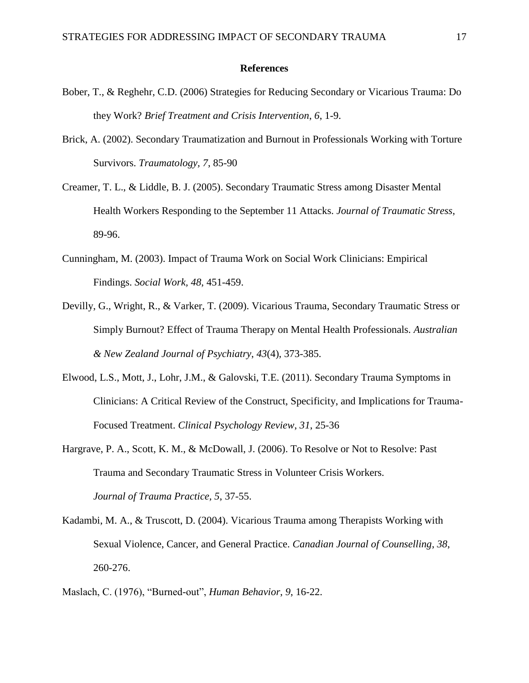#### **References**

- Bober, T., & Reghehr, C.D. (2006) Strategies for Reducing Secondary or Vicarious Trauma: Do they Work? *Brief Treatment and Crisis Intervention*, *6*, 1-9.
- Brick, A. (2002). Secondary Traumatization and Burnout in Professionals Working with Torture Survivors. *Traumatology, 7*, 85-90
- Creamer, T. L., & Liddle, B. J. (2005). Secondary Traumatic Stress among Disaster Mental Health Workers Responding to the September 11 Attacks. *Journal of Traumatic Stress*, 89-96.
- Cunningham, M. (2003). Impact of Trauma Work on Social Work Clinicians: Empirical Findings. *Social Work, 48*, 451-459.
- Devilly, G., Wright, R., & Varker, T. (2009). Vicarious Trauma, Secondary Traumatic Stress or Simply Burnout? Effect of Trauma Therapy on Mental Health Professionals. *Australian & New Zealand Journal of Psychiatry*, *43*(4), 373-385.
- Elwood, L.S., Mott, J., Lohr, J.M., & Galovski, T.E. (2011). Secondary Trauma Symptoms in Clinicians: A Critical Review of the Construct, Specificity, and Implications for Trauma-Focused Treatment. *Clinical Psychology Review*, *31*, 25-36
- Hargrave, P. A., Scott, K. M., & McDowall, J. (2006). To Resolve or Not to Resolve: Past Trauma and Secondary Traumatic Stress in Volunteer Crisis Workers. *Journal of Trauma Practice, 5*, 37-55.
- Kadambi, M. A., & Truscott, D. (2004). Vicarious Trauma among Therapists Working with Sexual Violence, Cancer, and General Practice. *Canadian Journal of Counselling*, *38*, 260-276.
- Maslach, C. (1976), "Burned-out", *Human Behavior*, *9*, 16-22.